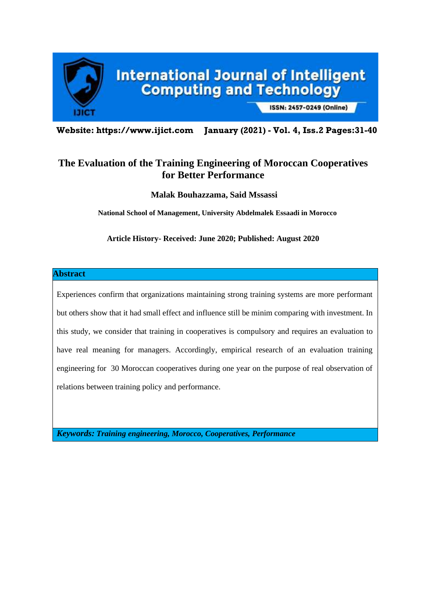

**Website: https://www.ijict.com January (2021) - Vol. 4, Iss.2 Pages:31-40**

# **The Evaluation of the Training Engineering of Moroccan Cooperatives for Better Performance**

**Malak Bouhazzama, Said Mssassi**

**National School of Management, University Abdelmalek Essaadi in Morocco**

**Article History- Received: June 2020; Published: August 2020**

### **Abstract**

Experiences confirm that organizations maintaining strong training systems are more performant but others show that it had small effect and influence still be minim comparing with investment. In this study, we consider that training in cooperatives is compulsory and requires an evaluation to have real meaning for managers. Accordingly, empirical research of an evaluation training engineering for 30 Moroccan cooperatives during one year on the purpose of real observation of relations between training policy and performance.

*Keywords: Training engineering, Morocco, Cooperatives, Performance*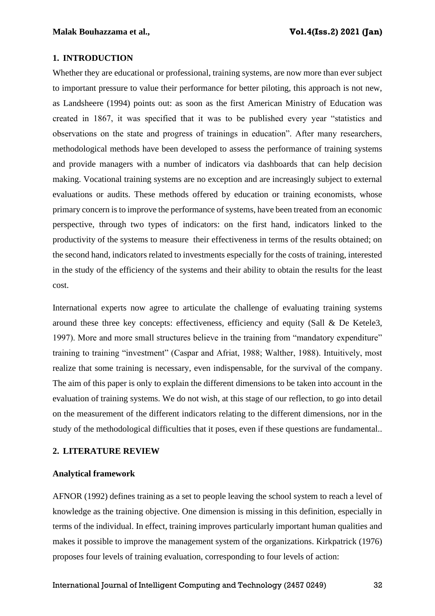### **1. INTRODUCTION**

Whether they are educational or professional, training systems, are now more than ever subject to important pressure to value their performance for better piloting, this approach is not new, as Landsheere (1994) points out: as soon as the first American Ministry of Education was created in 1867, it was specified that it was to be published every year "statistics and observations on the state and progress of trainings in education". After many researchers, methodological methods have been developed to assess the performance of training systems and provide managers with a number of indicators via dashboards that can help decision making. Vocational training systems are no exception and are increasingly subject to external evaluations or audits. These methods offered by education or training economists, whose primary concern is to improve the performance of systems, have been treated from an economic perspective, through two types of indicators: on the first hand, indicators linked to the productivity of the systems to measure their effectiveness in terms of the results obtained; on the second hand, indicators related to investments especially for the costs of training, interested in the study of the efficiency of the systems and their ability to obtain the results for the least cost.

International experts now agree to articulate the challenge of evaluating training systems around these three key concepts: effectiveness, efficiency and equity (Sall & De Ketele3, 1997). More and more small structures believe in the training from "mandatory expenditure" training to training "investment" (Caspar and Afriat, 1988; Walther, 1988). Intuitively, most realize that some training is necessary, even indispensable, for the survival of the company. The aim of this paper is only to explain the different dimensions to be taken into account in the evaluation of training systems. We do not wish, at this stage of our reflection, to go into detail on the measurement of the different indicators relating to the different dimensions, nor in the study of the methodological difficulties that it poses, even if these questions are fundamental..

### **2. LITERATURE REVIEW**

#### **Analytical framework**

AFNOR (1992) defines training as a set to people leaving the school system to reach a level of knowledge as the training objective. One dimension is missing in this definition, especially in terms of the individual. In effect, training improves particularly important human qualities and makes it possible to improve the management system of the organizations. Kirkpatrick (1976) proposes four levels of training evaluation, corresponding to four levels of action: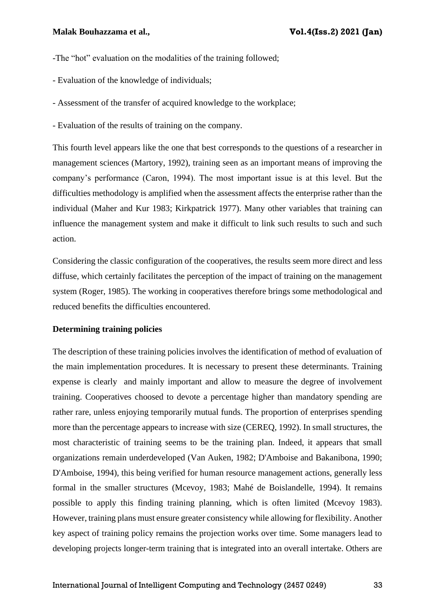-The "hot" evaluation on the modalities of the training followed;

- Evaluation of the knowledge of individuals;
- Assessment of the transfer of acquired knowledge to the workplace;
- Evaluation of the results of training on the company.

This fourth level appears like the one that best corresponds to the questions of a researcher in management sciences (Martory, 1992), training seen as an important means of improving the company's performance (Caron, 1994). The most important issue is at this level. But the difficulties methodology is amplified when the assessment affects the enterprise rather than the individual (Maher and Kur 1983; Kirkpatrick 1977). Many other variables that training can influence the management system and make it difficult to link such results to such and such action.

Considering the classic configuration of the cooperatives, the results seem more direct and less diffuse, which certainly facilitates the perception of the impact of training on the management system (Roger, 1985). The working in cooperatives therefore brings some methodological and reduced benefits the difficulties encountered.

#### **Determining training policies**

The description of these training policies involves the identification of method of evaluation of the main implementation procedures. It is necessary to present these determinants. Training expense is clearly and mainly important and allow to measure the degree of involvement training. Cooperatives choosed to devote a percentage higher than mandatory spending are rather rare, unless enjoying temporarily mutual funds. The proportion of enterprises spending more than the percentage appears to increase with size (CEREQ, 1992). In small structures, the most characteristic of training seems to be the training plan. Indeed, it appears that small organizations remain underdeveloped (Van Auken, 1982; D'Amboise and Bakanibona, 1990; D'Amboise, 1994), this being verified for human resource management actions, generally less formal in the smaller structures (Mcevoy, 1983; Mahé de Boislandelle, 1994). It remains possible to apply this finding training planning, which is often limited (Mcevoy 1983). However, training plans must ensure greater consistency while allowing for flexibility. Another key aspect of training policy remains the projection works over time. Some managers lead to developing projects longer-term training that is integrated into an overall intertake. Others are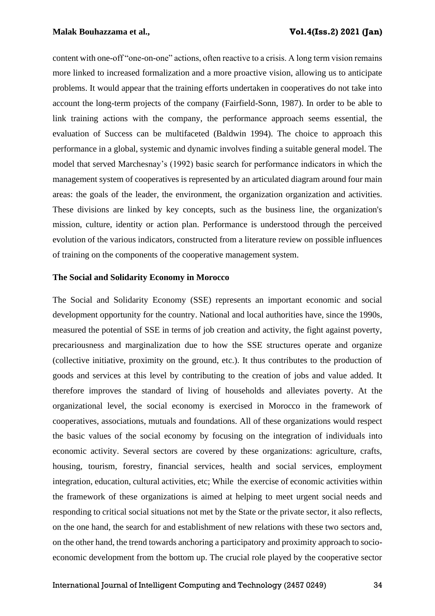content with one-off "one-on-one" actions, often reactive to a crisis. A long term vision remains more linked to increased formalization and a more proactive vision, allowing us to anticipate problems. It would appear that the training efforts undertaken in cooperatives do not take into account the long-term projects of the company (Fairfield-Sonn, 1987). In order to be able to link training actions with the company, the performance approach seems essential, the evaluation of Success can be multifaceted (Baldwin 1994). The choice to approach this performance in a global, systemic and dynamic involves finding a suitable general model. The model that served Marchesnay's (1992) basic search for performance indicators in which the management system of cooperatives is represented by an articulated diagram around four main areas: the goals of the leader, the environment, the organization organization and activities. These divisions are linked by key concepts, such as the business line, the organization's mission, culture, identity or action plan. Performance is understood through the perceived evolution of the various indicators, constructed from a literature review on possible influences of training on the components of the cooperative management system.

#### **The Social and Solidarity Economy in Morocco**

The Social and Solidarity Economy (SSE) represents an important economic and social development opportunity for the country. National and local authorities have, since the 1990s, measured the potential of SSE in terms of job creation and activity, the fight against poverty, precariousness and marginalization due to how the SSE structures operate and organize (collective initiative, proximity on the ground, etc.). It thus contributes to the production of goods and services at this level by contributing to the creation of jobs and value added. It therefore improves the standard of living of households and alleviates poverty. At the organizational level, the social economy is exercised in Morocco in the framework of cooperatives, associations, mutuals and foundations. All of these organizations would respect the basic values of the social economy by focusing on the integration of individuals into economic activity. Several sectors are covered by these organizations: agriculture, crafts, housing, tourism, forestry, financial services, health and social services, employment integration, education, cultural activities, etc; While the exercise of economic activities within the framework of these organizations is aimed at helping to meet urgent social needs and responding to critical social situations not met by the State or the private sector, it also reflects, on the one hand, the search for and establishment of new relations with these two sectors and, on the other hand, the trend towards anchoring a participatory and proximity approach to socioeconomic development from the bottom up. The crucial role played by the cooperative sector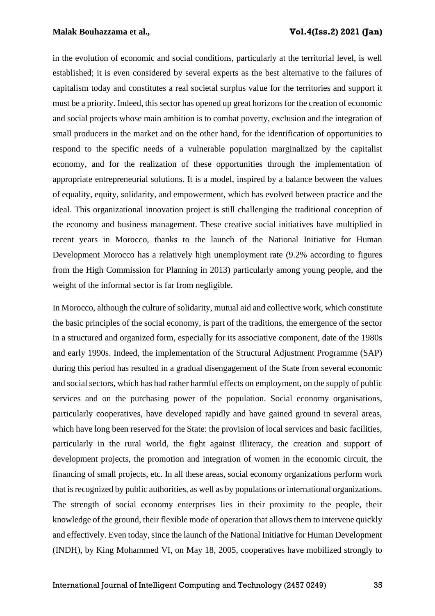#### **Malak Bouhazzama et al., Vol.4(Iss.2) 2021 (Jan)**

in the evolution of economic and social conditions, particularly at the territorial level, is well established; it is even considered by several experts as the best alternative to the failures of capitalism today and constitutes a real societal surplus value for the territories and support it must be a priority. Indeed, this sector has opened up great horizons for the creation of economic and social projects whose main ambition is to combat poverty, exclusion and the integration of small producers in the market and on the other hand, for the identification of opportunities to respond to the specific needs of a vulnerable population marginalized by the capitalist economy, and for the realization of these opportunities through the implementation of appropriate entrepreneurial solutions. It is a model, inspired by a balance between the values of equality, equity, solidarity, and empowerment, which has evolved between practice and the ideal. This organizational innovation project is still challenging the traditional conception of the economy and business management. These creative social initiatives have multiplied in recent years in Morocco, thanks to the launch of the National Initiative for Human Development Morocco has a relatively high unemployment rate (9.2% according to figures from the High Commission for Planning in 2013) particularly among young people, and the weight of the informal sector is far from negligible.

In Morocco, although the culture of solidarity, mutual aid and collective work, which constitute the basic principles of the social economy, is part of the traditions, the emergence of the sector in a structured and organized form, especially for its associative component, date of the 1980s and early 1990s. Indeed, the implementation of the Structural Adjustment Programme (SAP) during this period has resulted in a gradual disengagement of the State from several economic and social sectors, which has had rather harmful effects on employment, on the supply of public services and on the purchasing power of the population. Social economy organisations, particularly cooperatives, have developed rapidly and have gained ground in several areas, which have long been reserved for the State: the provision of local services and basic facilities, particularly in the rural world, the fight against illiteracy, the creation and support of development projects, the promotion and integration of women in the economic circuit, the financing of small projects, etc. In all these areas, social economy organizations perform work that is recognized by public authorities, as well as by populations or international organizations. The strength of social economy enterprises lies in their proximity to the people, their knowledge of the ground, their flexible mode of operation that allows them to intervene quickly and effectively. Even today, since the launch of the National Initiative for Human Development (INDH), by King Mohammed VI, on May 18, 2005, cooperatives have mobilized strongly to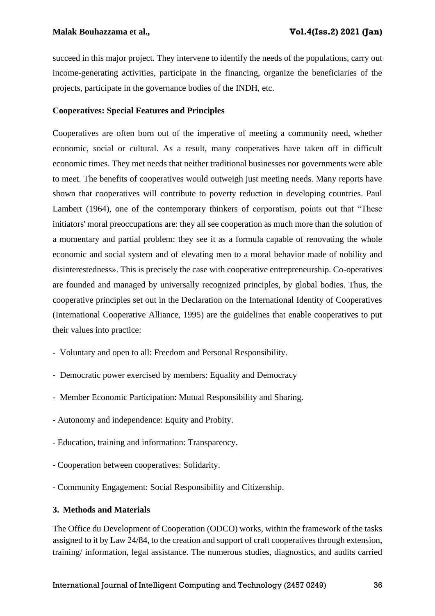succeed in this major project. They intervene to identify the needs of the populations, carry out income-generating activities, participate in the financing, organize the beneficiaries of the projects, participate in the governance bodies of the INDH, etc.

## **Cooperatives: Special Features and Principles**

Cooperatives are often born out of the imperative of meeting a community need, whether economic, social or cultural. As a result, many cooperatives have taken off in difficult economic times. They met needs that neither traditional businesses nor governments were able to meet. The benefits of cooperatives would outweigh just meeting needs. Many reports have shown that cooperatives will contribute to poverty reduction in developing countries. Paul Lambert (1964), one of the contemporary thinkers of corporatism, points out that "These initiators' moral preoccupations are: they all see cooperation as much more than the solution of a momentary and partial problem: they see it as a formula capable of renovating the whole economic and social system and of elevating men to a moral behavior made of nobility and disinterestedness». This is precisely the case with cooperative entrepreneurship. Co-operatives are founded and managed by universally recognized principles, by global bodies. Thus, the cooperative principles set out in the Declaration on the International Identity of Cooperatives (International Cooperative Alliance, 1995) are the guidelines that enable cooperatives to put their values into practice:

- Voluntary and open to all: Freedom and Personal Responsibility.
- Democratic power exercised by members: Equality and Democracy
- Member Economic Participation: Mutual Responsibility and Sharing.
- Autonomy and independence: Equity and Probity.
- Education, training and information: Transparency.
- Cooperation between cooperatives: Solidarity.
- Community Engagement: Social Responsibility and Citizenship.

### **3. Methods and Materials**

The Office du Development of Cooperation (ODCO) works, within the framework of the tasks assigned to it by Law 24/84, to the creation and support of craft cooperatives through extension, training/ information, legal assistance. The numerous studies, diagnostics, and audits carried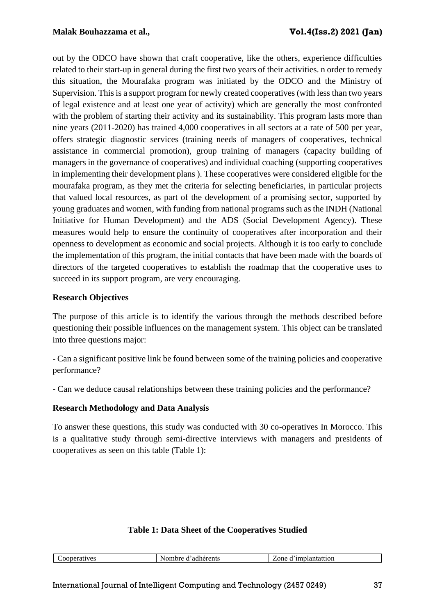out by the ODCO have shown that craft cooperative, like the others, experience difficulties related to their start-up in general during the first two years of their activities. n order to remedy this situation, the Mourafaka program was initiated by the ODCO and the Ministry of Supervision. This is a support program for newly created cooperatives (with less than two years of legal existence and at least one year of activity) which are generally the most confronted with the problem of starting their activity and its sustainability. This program lasts more than nine years (2011-2020) has trained 4,000 cooperatives in all sectors at a rate of 500 per year, offers strategic diagnostic services (training needs of managers of cooperatives, technical assistance in commercial promotion), group training of managers (capacity building of managers in the governance of cooperatives) and individual coaching (supporting cooperatives in implementing their development plans ). These cooperatives were considered eligible for the mourafaka program, as they met the criteria for selecting beneficiaries, in particular projects that valued local resources, as part of the development of a promising sector, supported by young graduates and women, with funding from national programs such as the INDH (National Initiative for Human Development) and the ADS (Social Development Agency). These measures would help to ensure the continuity of cooperatives after incorporation and their openness to development as economic and social projects. Although it is too early to conclude the implementation of this program, the initial contacts that have been made with the boards of directors of the targeted cooperatives to establish the roadmap that the cooperative uses to succeed in its support program, are very encouraging.

# **Research Objectives**

The purpose of this article is to identify the various through the methods described before questioning their possible influences on the management system. This object can be translated into three questions major:

- Can a significant positive link be found between some of the training policies and cooperative performance?

- Can we deduce causal relationships between these training policies and the performance?

# **Research Methodology and Data Analysis**

To answer these questions, this study was conducted with 30 co-operatives In Morocco. This is a qualitative study through semi-directive interviews with managers and presidents of cooperatives as seen on this table (Table 1):

# **Table 1: Data Sheet of the Cooperatives Studied**

| erents<br>------<br>~ ~<br>$. + + - - -$<br>$ -$<br>---<br>яа<br>'''<br>$\sim$ one $\sim$<br>ner<br>aulol.<br>на<br>$\sim$ |
|----------------------------------------------------------------------------------------------------------------------------|
|----------------------------------------------------------------------------------------------------------------------------|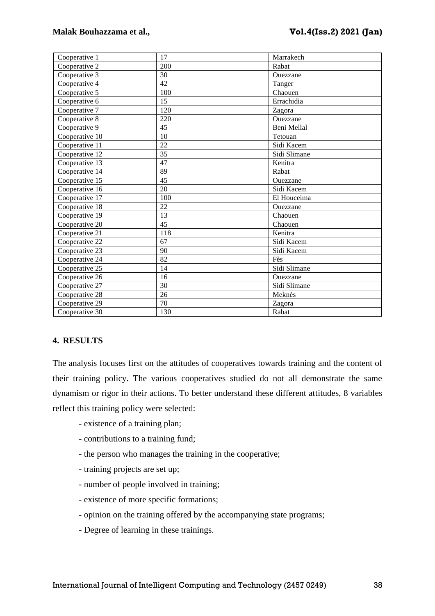| Cooperative 1  | 17  | Marrakech    |
|----------------|-----|--------------|
| Cooperative 2  | 200 | Rabat        |
| Cooperative 3  | 30  | Ouezzane     |
| Cooperative 4  | 42  | Tanger       |
| Cooperative 5  | 100 | Chaouen      |
| Cooperative 6  | 15  | Errachidia   |
| Cooperative 7  | 120 | Zagora       |
| Cooperative 8  | 220 | Ouezzane     |
| Cooperative 9  | 45  | Beni Mellal  |
| Cooperative 10 | 10  | Tetouan      |
| Cooperative 11 | 22  | Sidi Kacem   |
| Cooperative 12 | 35  | Sidi Slimane |
| Cooperative 13 | 47  | Kenitra      |
| Cooperative 14 | 89  | Rabat        |
| Cooperative 15 | 45  | Ouezzane     |
| Cooperative 16 | 20  | Sidi Kacem   |
| Cooperative 17 | 100 | El Houceima  |
| Cooperative 18 | 22  | Ouezzane     |
| Cooperative 19 | 13  | Chaouen      |
| Cooperative 20 | 45  | Chaouen      |
| Cooperative 21 | 118 | Kenitra      |
| Cooperative 22 | 67  | Sidi Kacem   |
| Cooperative 23 | 90  | Sidi Kacem   |
| Cooperative 24 | 82  | Fès          |
| Cooperative 25 | 14  | Sidi Slimane |
| Cooperative 26 | 16  | Ouezzane     |
| Cooperative 27 | 30  | Sidi Slimane |
| Cooperative 28 | 26  | Meknès       |
| Cooperative 29 | 70  | Zagora       |
| Cooperative 30 | 130 | Rabat        |

## **4. RESULTS**

The analysis focuses first on the attitudes of cooperatives towards training and the content of their training policy. The various cooperatives studied do not all demonstrate the same dynamism or rigor in their actions. To better understand these different attitudes, 8 variables reflect this training policy were selected:

- existence of a training plan;
- contributions to a training fund;
- the person who manages the training in the cooperative;
- training projects are set up;
- number of people involved in training;
- existence of more specific formations;
- opinion on the training offered by the accompanying state programs;
- Degree of learning in these trainings.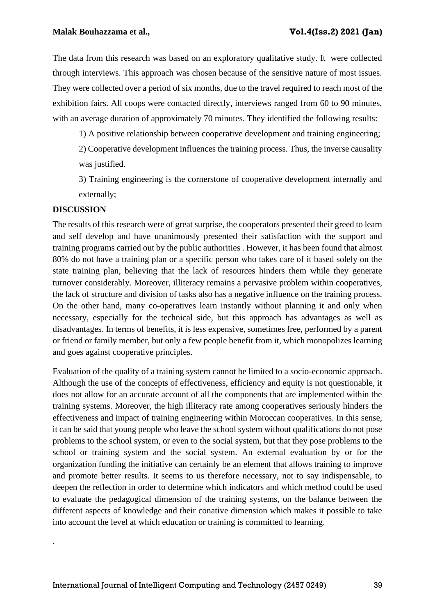The data from this research was based on an exploratory qualitative study. It were collected through interviews. This approach was chosen because of the sensitive nature of most issues. They were collected over a period of six months, due to the travel required to reach most of the exhibition fairs. All coops were contacted directly, interviews ranged from 60 to 90 minutes, with an average duration of approximately 70 minutes. They identified the following results:

1) A positive relationship between cooperative development and training engineering;

2) Cooperative development influences the training process. Thus, the inverse causality was justified.

3) Training engineering is the cornerstone of cooperative development internally and externally;

## **DISCUSSION**

.

The results of this research were of great surprise, the cooperators presented their greed to learn and self develop and have unanimously presented their satisfaction with the support and training programs carried out by the public authorities . However, it has been found that almost 80% do not have a training plan or a specific person who takes care of it based solely on the state training plan, believing that the lack of resources hinders them while they generate turnover considerably. Moreover, illiteracy remains a pervasive problem within cooperatives, the lack of structure and division of tasks also has a negative influence on the training process. On the other hand, many co-operatives learn instantly without planning it and only when necessary, especially for the technical side, but this approach has advantages as well as disadvantages. In terms of benefits, it is less expensive, sometimes free, performed by a parent or friend or family member, but only a few people benefit from it, which monopolizes learning and goes against cooperative principles.

Evaluation of the quality of a training system cannot be limited to a socio-economic approach. Although the use of the concepts of effectiveness, efficiency and equity is not questionable, it does not allow for an accurate account of all the components that are implemented within the training systems. Moreover, the high illiteracy rate among cooperatives seriously hinders the effectiveness and impact of training engineering within Moroccan cooperatives. In this sense, it can be said that young people who leave the school system without qualifications do not pose problems to the school system, or even to the social system, but that they pose problems to the school or training system and the social system. An external evaluation by or for the organization funding the initiative can certainly be an element that allows training to improve and promote better results. It seems to us therefore necessary, not to say indispensable, to deepen the reflection in order to determine which indicators and which method could be used to evaluate the pedagogical dimension of the training systems, on the balance between the different aspects of knowledge and their conative dimension which makes it possible to take into account the level at which education or training is committed to learning.